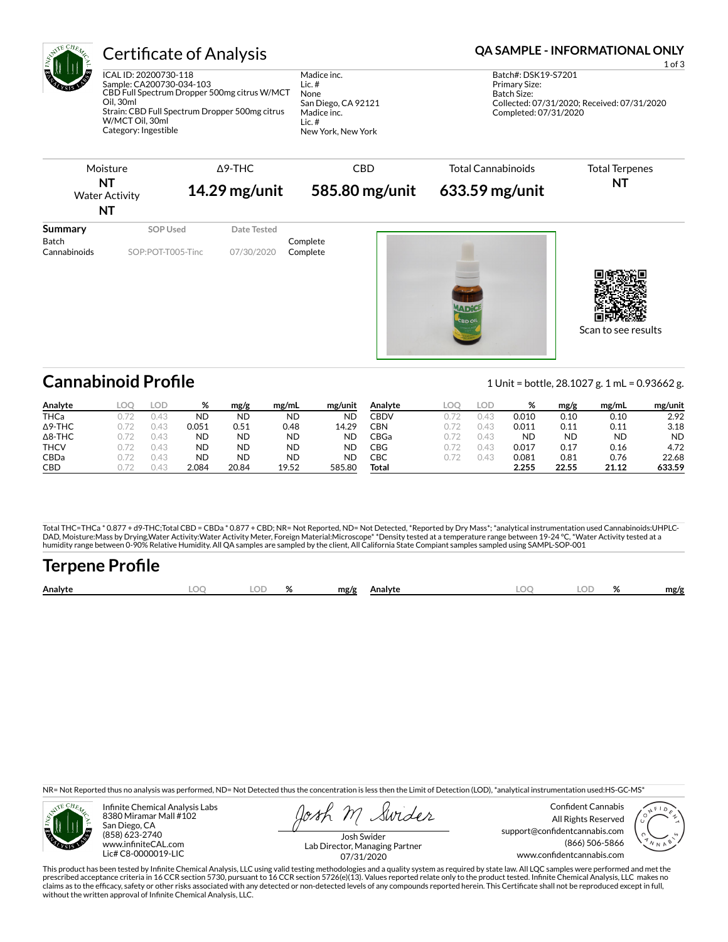

## Certificate of Analysis **Certificate of Analysis QA SAMPLE - INFORMATIONAL ONLY**

ICAL ID: 20200730-118 Sample: CA200730-034-103 CBD Full Spectrum Dropper 500mg citrus W/MCT Oil, 30ml Strain: CBD Full Spectrum Dropper 500mg citrus W/MCT Oil, 30ml Category: Ingestible

Madice inc. Lic. # None San Diego, CA 92121 Madice inc. Lic. # New York, New York

1 of 3

Batch#: DSK19-S7201 Primary Size: Batch Size: Collected: 07/31/2020; Received: 07/31/2020 Completed: 07/31/2020



**Cannabinoid Prole** 1 Unit = bottle, 28.1027 g. 1 mL = 0.93662 g.

| Analyte        | LOC | LOD  | %         | mg/g      | mg/mL     | mg/unit | Analvte | LOC | lod          | %         | mg/g  | mg/mL | mg/unit   |
|----------------|-----|------|-----------|-----------|-----------|---------|---------|-----|--------------|-----------|-------|-------|-----------|
| <b>THCa</b>    |     | I 4. | <b>ND</b> | ND        | <b>ND</b> | ND      | CBDV    |     | $\leftarrow$ | 0.010     | 0.10  | 0.10  | 2.92      |
| $\Delta$ 9-THC |     | ۱4.  | 0.051     | 0.51      | 0.48      | 14.29   | CBN     |     | 145          | 0.011     | 0.11  | 0.11  | 3.18      |
| $\Delta$ 8-THC |     | 0.43 | <b>ND</b> | <b>ND</b> | ND        | ND      | CBGa    |     | 0.43         | <b>ND</b> | ND    | ND    | <b>ND</b> |
| <b>THCV</b>    |     | 0.43 | <b>ND</b> | <b>ND</b> | ND        | ΝD      | CBG     |     | 145          | 0.017     | 0.17  | 0.16  | 4.72      |
| CBDa           |     | 0.43 | <b>ND</b> | ND        | ND        | ND      | СВС     |     | 14.          | 0.081     | 0.81  | 0.76  | 22.68     |
| <b>CBD</b>     |     | 145  | 2.084     | 20.84     | 19.52     | 585.80  | Total   |     |              | 2.255     | 22.55 | 21.12 | 633.59    |

Total THC=THCa \* 0.877 + d9-THC;Total CBD = CBDa \* 0.877 + CBD; NR= Not Reported, ND= Not Detected, \*Reported by Dry Mass\*; \*analytical instrumentation used Cannabinoids:UHPLC-DAD, Moisture:Mass by Drying,Water Activity:Water Activity Meter, Foreign Material:Microscope\* \*Density tested at a temperature range between 19-24 °C, \*Water Activity tested at a<br>humidity range between 0-90% Relative Humi

# Terpene Profile

| Analyte | $\sim$ | $\mathbf{a}$ | mg/g | Analyte | м | 01<br>$\overline{\phantom{a}}$ | mg/g |
|---------|--------|--------------|------|---------|---|--------------------------------|------|
|         |        |              |      |         |   |                                |      |

NR= Not Reported thus no analysis was performed, ND= Not Detected thus the concentration is less then the Limit of Detection (LOD), \*analytical instrumentation used:HS-GC-MS\*



Infinite Chemical Analysis Labs 8380 Miramar Mall #102 San Diego, CA (858) 623-2740 www.infiniteCAL.com Lic# C8-0000019-LIC

Swides

Confident Cannabis All Rights Reserved support@confidentcannabis.com (866) 506-5866 www.confidentcannabis.com



Josh Swider Lab Director, Managing Partner 07/31/2020

This product has been tested by Infinite Chemical Analysis, LLC using valid testing methodologies and a quality system as required by state law. All LQC samples were performed and met the prescribed acceptance criteria in 16 CCR section 5730, pursuant to 16 CCR section 5726(e)(13). Values reported relate only to the product tested. Infinite Chemical Analysis, LLC makes no<br>claims as to the efficacy, safety o without the written approval of Infinite Chemical Analysis, LLC.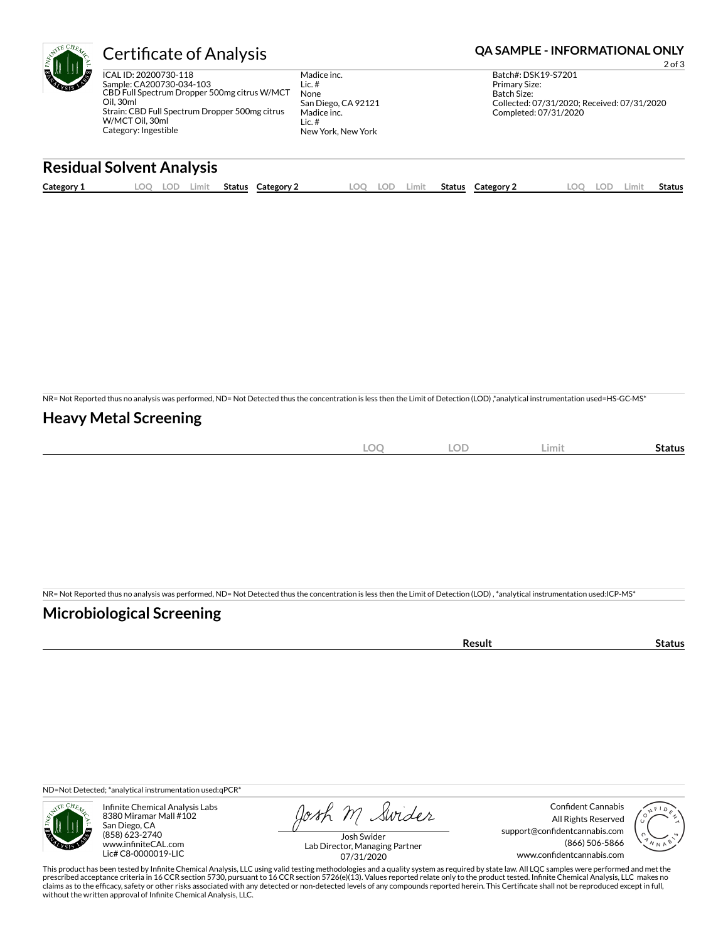

## Certificate of Analysis **Certificate of Analysis QA SAMPLE - INFORMATIONAL ONLY**

ICAL ID: 20200730-118 Sample: CA200730-034-103 CBD Full Spectrum Dropper 500mg citrus W/MCT Oil, 30ml Strain: CBD Full Spectrum Dropper 500mg citrus W/MCT Oil, 30ml Category: Ingestible

Madice inc. Lic. # None San Diego, CA 92121 Madice inc. Lic. # New York, New York

2 of 3 Batch#: DSK19-S7201 Primary Size: Batch Size: Collected: 07/31/2020; Received: 07/31/2020 Completed: 07/31/2020

## **Residual Solvent Analysis**

| Category 1 | $\sim$ $\sim$<br><u>.</u> | J. | Limit | <b>Status</b> | Category | LOO | LOD | .imit | <b>Status</b> | Category 2 | $\Omega$ | LOD. | .imi | Status |
|------------|---------------------------|----|-------|---------------|----------|-----|-----|-------|---------------|------------|----------|------|------|--------|
|            |                           |    |       |               |          |     |     |       |               |            |          |      |      |        |

NR= Not Reported thus no analysis was performed, ND= Not Detected thus the concentration is less then the Limit of Detection (LOD) ,\*analytical instrumentation used=HS-GC-MS\*

### **Heavy Metal Screening**

| ∽<br>$-$<br>$\sim$ | $\sim$ $\sim$<br>. . UI<br>$\sim$ | Limit | Status |
|--------------------|-----------------------------------|-------|--------|
|                    |                                   |       |        |

NR= Not Reported thus no analysis was performed, ND= Not Detected thus the concentration is less then the Limit of Detection (LOD) , \*analytical instrumentation used:ICP-MS\*

### **Microbiological Screening**

| 'esult | LUS. |
|--------|------|
|        |      |

ND=Not Detected; \*analytical instrumentation used:qPCR\*



Infinite Chemical Analysis Labs 8380 Miramar Mall #102 San Diego, CA (858) 623-2740 www.infiniteCAL.com Lic# C8-0000019-LIC

Josh M Swider

Confident Cannabis All Rights Reserved support@confidentcannabis.com (866) 506-5866 www.confidentcannabis.com



Josh Swider Lab Director, Managing Partner 07/31/2020

This product has been tested by Infinite Chemical Analysis, LLC using valid testing methodologies and a quality system as required by state law. All LQC samples were performed and met the prescribed acceptance criteria in 16 CCR section 5730, pursuant to 16 CCR section 5726(e)(13). Values reported relate only to the product tested. Infinite Chemical Analysis, LLC makes no<br>claims as to the efficacy, safety o without the written approval of Infinite Chemical Analysis, LLC.